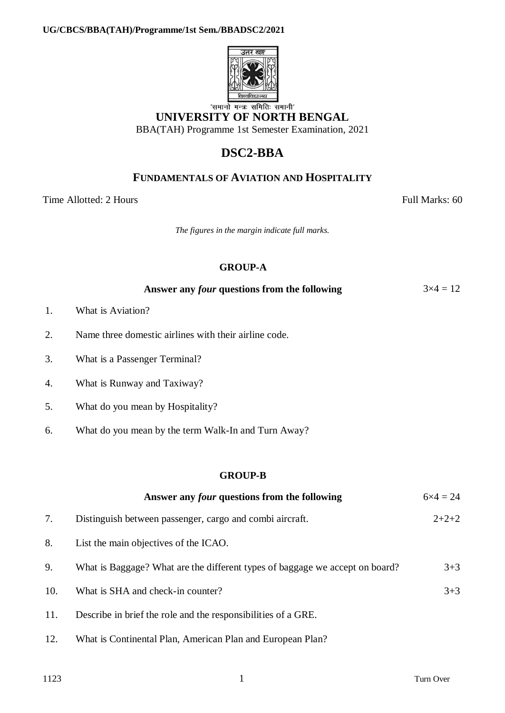

# **UNIVERSITY OF NORTH BENGAL**

BBA(TAH) Programme 1st Semester Examination, 2021

# **DSC2-BBA**

## **FUNDAMENTALS OF AVIATION AND HOSPITALITY**

Time Allotted: 2 Hours Full Marks: 60

*The figures in the margin indicate full marks.*

### **GROUP-A**

| Answer any <i>four</i> questions from the following | $3\times4=12$ |
|-----------------------------------------------------|---------------|
|-----------------------------------------------------|---------------|

- 1. What is Aviation?
- 2. Name three domestic airlines with their airline code.
- 3. What is a Passenger Terminal?
- 4. What is Runway and Taxiway?
- 5. What do you mean by Hospitality?
- 6. What do you mean by the term Walk-In and Turn Away?

#### **GROUP-B**

|     | Answer any <i>four</i> questions from the following                          | $6 \times 4 = 24$ |
|-----|------------------------------------------------------------------------------|-------------------|
| 7.  | Distinguish between passenger, cargo and combi aircraft.                     | $2+2+2$           |
| 8.  | List the main objectives of the ICAO.                                        |                   |
| 9.  | What is Baggage? What are the different types of baggage we accept on board? | $3 + 3$           |
| 10. | What is SHA and check-in counter?                                            | $3 + 3$           |
| 11. | Describe in brief the role and the responsibilities of a GRE.                |                   |

12. What is Continental Plan, American Plan and European Plan?